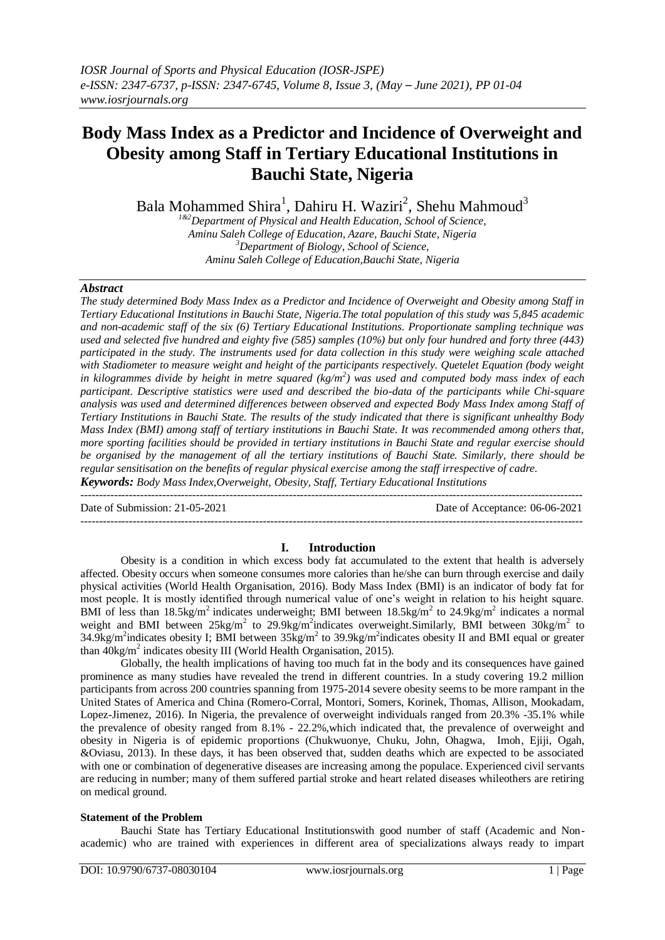# **Body Mass Index as a Predictor and Incidence of Overweight and Obesity among Staff in Tertiary Educational Institutions in Bauchi State, Nigeria**

Bala Mohammed Shira<sup>1</sup>, Dahiru H. Waziri<sup>2</sup>, Shehu Mahmoud<sup>3</sup>

*1&2Department of Physical and Health Education, School of Science, Aminu Saleh College of Education, Azare, Bauchi State, Nigeria <sup>3</sup>Department of Biology, School of Science, Aminu Saleh College of Education,Bauchi State, Nigeria*

### *Abstract*

*The study determined Body Mass Index as a Predictor and Incidence of Overweight and Obesity among Staff in Tertiary Educational Institutions in Bauchi State, Nigeria.The total population of this study was 5,845 academic and non-academic staff of the six (6) Tertiary Educational Institutions. Proportionate sampling technique was used and selected five hundred and eighty five (585) samples (10%) but only four hundred and forty three (443) participated in the study. The instruments used for data collection in this study were weighing scale attached*  with Stadiometer to measure weight and height of the participants respectively. Quetelet Equation (body weight *in kilogrammes divide by height in metre squared (kg/m<sup>2</sup> ) was used and computed body mass index of each participant. Descriptive statistics were used and described the bio-data of the participants while Chi-square analysis was used and determined differences between observed and expected Body Mass Index among Staff of Tertiary Institutions in Bauchi State. The results of the study indicated that there is significant unhealthy Body Mass Index (BMI) among staff of tertiary institutions in Bauchi State. It was recommended among others that, more sporting facilities should be provided in tertiary institutions in Bauchi State and regular exercise should be organised by the management of all the tertiary institutions of Bauchi State. Similarly, there should be regular sensitisation on the benefits of regular physical exercise among the staff irrespective of cadre. Keywords: Body Mass Index,Overweight, Obesity, Staff, Tertiary Educational Institutions* 

--------------------------------------------------------------------------------------------------------------------------------------- Date of Submission: 21-05-2021 Date of Acceptance: 06-06-2021 ---------------------------------------------------------------------------------------------------------------------------------------

### **I. Introduction**

Obesity is a condition in which excess body fat accumulated to the extent that health is adversely affected. Obesity occurs when someone consumes more calories than he/she can burn through exercise and daily physical activities (World Health Organisation, 2016). Body Mass Index (BMI) is an indicator of body fat for most people. It is mostly identified through numerical value of one's weight in relation to his height square. BMI of less than 18.5kg/m<sup>2</sup> indicates underweight; BMI between 18.5kg/m<sup>2</sup> to 24.9kg/m<sup>2</sup> indicates a normal weight and BMI between 25kg/m<sup>2</sup> to 29.9kg/m<sup>2</sup>indicates overweight.Similarly, BMI between 30kg/m<sup>2</sup> to 34.9kg/m<sup>2</sup> indicates obesity I; BMI between  $35\text{kg/m}^2$  to 39.9kg/m<sup>2</sup> indicates obesity II and BMI equal or greater than  $40$ kg/m<sup>2</sup> indicates obesity III (World Health Organisation, 2015).

Globally, the health implications of having too much fat in the body and its consequences have gained prominence as many studies have revealed the trend in different countries. In a study covering 19.2 million participants from across 200 countries spanning from 1975-2014 severe obesity seems to be more rampant in the United States of America and China (Romero-Corral, Montori, Somers, Korinek, Thomas, Allison, Mookadam, Lopez-Jimenez, 2016). In Nigeria, the prevalence of overweight individuals ranged from 20.3% -35.1% while the prevalence of obesity ranged from 8.1% - 22.2%, which indicated that, the prevalence of overweight and obesity in Nigeria is of epidemic proportions (Chukwuonye, Chuku, John, Ohagwa, Imoh, Ejiji, Ogah, &Oviasu, 2013). In these days, it has been observed that, sudden deaths which are expected to be associated with one or combination of degenerative diseases are increasing among the populace. Experienced civil servants are reducing in number; many of them suffered partial stroke and heart related diseases whileothers are retiring on medical ground.

#### **Statement of the Problem**

Bauchi State has Tertiary Educational Institutionswith good number of staff (Academic and Nonacademic) who are trained with experiences in different area of specializations always ready to impart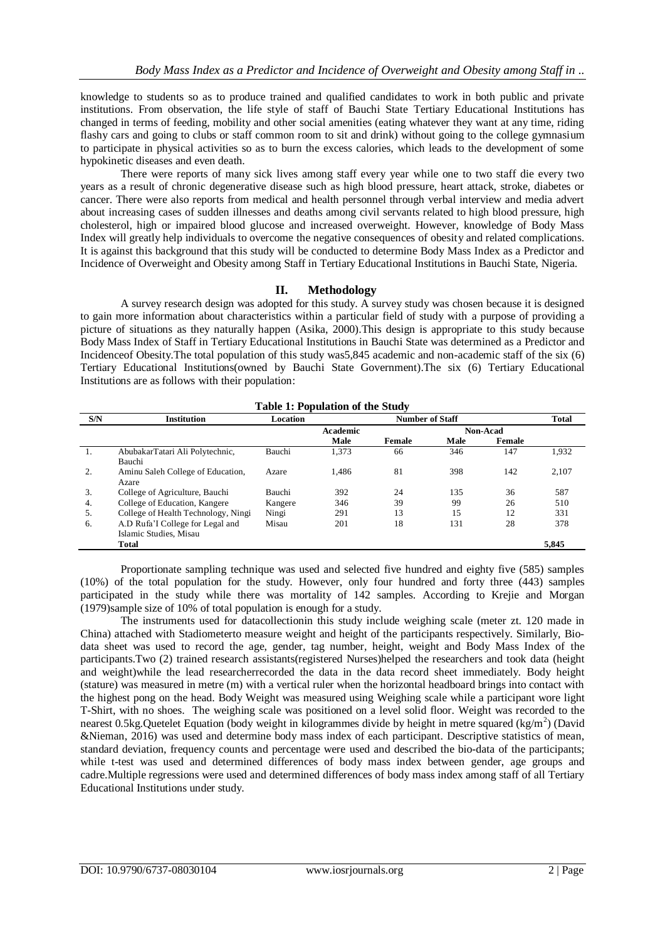knowledge to students so as to produce trained and qualified candidates to work in both public and private institutions. From observation, the life style of staff of Bauchi State Tertiary Educational Institutions has changed in terms of feeding, mobility and other social amenities (eating whatever they want at any time, riding flashy cars and going to clubs or staff common room to sit and drink) without going to the college gymnasium to participate in physical activities so as to burn the excess calories, which leads to the development of some hypokinetic diseases and even death.

There were reports of many sick lives among staff every year while one to two staff die every two years as a result of chronic degenerative disease such as high blood pressure, heart attack, stroke, diabetes or cancer. There were also reports from medical and health personnel through verbal interview and media advert about increasing cases of sudden illnesses and deaths among civil servants related to high blood pressure, high cholesterol, high or impaired blood glucose and increased overweight. However, knowledge of Body Mass Index will greatly help individuals to overcome the negative consequences of obesity and related complications. It is against this background that this study will be conducted to determine Body Mass Index as a Predictor and Incidence of Overweight and Obesity among Staff in Tertiary Educational Institutions in Bauchi State, Nigeria.

## **II. Methodology**

A survey research design was adopted for this study. A survey study was chosen because it is designed to gain more information about characteristics within a particular field of study with a purpose of providing a picture of situations as they naturally happen (Asika, 2000).This design is appropriate to this study because Body Mass Index of Staff in Tertiary Educational Institutions in Bauchi State was determined as a Predictor and Incidenceof Obesity.The total population of this study was5,845 academic and non-academic staff of the six (6) Tertiary Educational Institutions(owned by Bauchi State Government).The six (6) Tertiary Educational Institutions are as follows with their population:

|                  | Table 1: Population of the Study    |          |          |        |                 |        |       |  |  |  |
|------------------|-------------------------------------|----------|----------|--------|-----------------|--------|-------|--|--|--|
| S/N              | <b>Institution</b>                  | Location |          | Total  |                 |        |       |  |  |  |
|                  |                                     |          | Academic |        | <b>Non-Acad</b> |        |       |  |  |  |
|                  |                                     |          | Male     | Female | Male            | Female |       |  |  |  |
| 1.               | AbubakarTatari Ali Polytechnic,     | Bauchi   | 1,373    | 66     | 346             | 147    | 1,932 |  |  |  |
|                  | Bauchi                              |          |          |        |                 |        |       |  |  |  |
| $\overline{2}$ . | Aminu Saleh College of Education,   | Azare    | 1.486    | 81     | 398             | 142    | 2,107 |  |  |  |
|                  | Azare                               |          |          |        |                 |        |       |  |  |  |
| 3.               | College of Agriculture, Bauchi      | Bauchi   | 392      | 24     | 135             | 36     | 587   |  |  |  |
| 4.               | College of Education, Kangere       | Kangere  | 346      | 39     | 99              | 26     | 510   |  |  |  |
| 5.               | College of Health Technology, Ningi | Ningi    | 291      | 13     | 15              | 12     | 331   |  |  |  |
| 6.               | A.D Rufa'l College for Legal and    | Misau    | 201      | 18     | 131             | 28     | 378   |  |  |  |
|                  | Islamic Studies, Misau              |          |          |        |                 |        |       |  |  |  |
|                  | <b>Total</b>                        |          |          |        |                 |        | 5,845 |  |  |  |

# **Table 1: Population of the Study**

Proportionate sampling technique was used and selected five hundred and eighty five (585) samples (10%) of the total population for the study. However, only four hundred and forty three (443) samples participated in the study while there was mortality of 142 samples. According to Krejie and Morgan (1979)sample size of 10% of total population is enough for a study.

The instruments used for datacollectionin this study include weighing scale (meter zt. 120 made in China) attached with Stadiometerto measure weight and height of the participants respectively. Similarly, Biodata sheet was used to record the age, gender, tag number, height, weight and Body Mass Index of the participants.Two (2) trained research assistants(registered Nurses)helped the researchers and took data (height and weight)while the lead researcherrecorded the data in the data record sheet immediately. Body height (stature) was measured in metre (m) with a vertical ruler when the horizontal headboard brings into contact with the highest pong on the head. Body Weight was measured using Weighing scale while a participant wore light T-Shirt, with no shoes. The weighing scale was positioned on a level solid floor. Weight was recorded to the nearest 0.5kg. Quetelet Equation (body weight in kilogrammes divide by height in metre squared (kg/m<sup>2</sup>) (David &Nieman, 2016) was used and determine body mass index of each participant. Descriptive statistics of mean, standard deviation, frequency counts and percentage were used and described the bio-data of the participants; while t-test was used and determined differences of body mass index between gender, age groups and cadre.Multiple regressions were used and determined differences of body mass index among staff of all Tertiary Educational Institutions under study.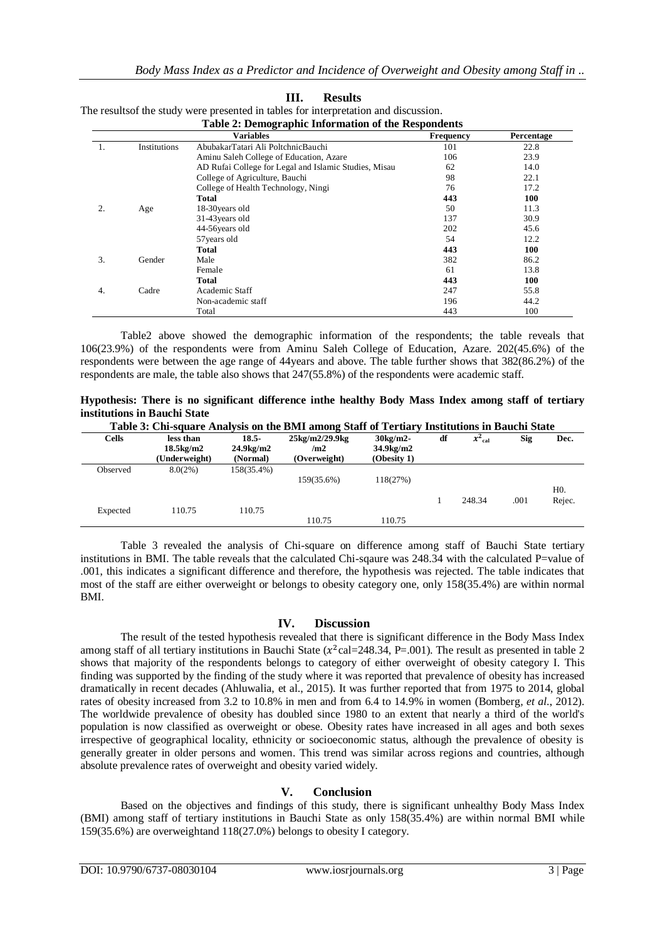|    |              | $\cdots$ , where $\cdots$<br><b>Variables</b>         | <b>Frequency</b> | Percentage |
|----|--------------|-------------------------------------------------------|------------------|------------|
| ı. | Institutions | AbubakarTatari Ali PoltchnicBauchi                    | 101              | 22.8       |
|    |              | Aminu Saleh College of Education, Azare               | 106              | 23.9       |
|    |              | AD Rufai College for Legal and Islamic Studies, Misau | 62               | 14.0       |
|    |              | College of Agriculture, Bauchi                        | 98               | 22.1       |
|    |              | College of Health Technology, Ningi                   | 76               | 17.2       |
|    |              | <b>Total</b>                                          | 443              | 100        |
| 2. | Age          | 18-30 years old                                       | 50               | 11.3       |
|    |              | 31-43 years old                                       | 137              | 30.9       |
|    |              | 44-56 years old                                       | 202              | 45.6       |
|    |              | 57 years old                                          | 54               | 12.2       |
|    |              | Total                                                 | 443              | 100        |
| 3. | Gender       | Male                                                  | 382              | 86.2       |
|    |              | Female                                                | 61               | 13.8       |
|    |              | Total                                                 | 443              | 100        |
| 4. | Cadre        | Academic Staff                                        | 247              | 55.8       |
|    |              | Non-academic staff                                    | 196              | 44.2       |
|    |              | Total                                                 | 443              | 100        |

| Results                                                                              |
|--------------------------------------------------------------------------------------|
| The results of the study were presented in tables for interpretation and discussion. |
| <b>Table 2: Demographic Information of the Respondents</b>                           |

Table2 above showed the demographic information of the respondents; the table reveals that 106(23.9%) of the respondents were from Aminu Saleh College of Education, Azare. 202(45.6%) of the respondents were between the age range of 44years and above. The table further shows that 382(86.2%) of the respondents are male, the table also shows that 247(55.8%) of the respondents were academic staff.

| Hypothesis: There is no significant difference inthe healthy Body Mass Index among staff of tertiary |                                                                                              |  |  |  |  |  |  |
|------------------------------------------------------------------------------------------------------|----------------------------------------------------------------------------------------------|--|--|--|--|--|--|
| institutions in Bauchi State                                                                         |                                                                                              |  |  |  |  |  |  |
|                                                                                                      | Toble 2. Chi canone Anglycia on the DMI among Staff of Toutiany Institutions in Doyal: State |  |  |  |  |  |  |

| Table 3: Chi-square Analysis on the BMI among Staff of Tertiary Institutions in Bauchi State |                                                           |                                             |                                       |                                                |    |           |      |                            |  |  |
|----------------------------------------------------------------------------------------------|-----------------------------------------------------------|---------------------------------------------|---------------------------------------|------------------------------------------------|----|-----------|------|----------------------------|--|--|
| <b>Cells</b>                                                                                 | less than<br>$18.5 \text{kg}/\text{m}$ 2<br>(Underweight) | 18.5-<br>24.9 <sub>kg</sub> /m2<br>(Normal) | 25kg/m2/29.9kg<br>/m2<br>(Overweight) | $30\mathrm{kg/m2}$<br>34.9kg/m2<br>(Obesity 1) | df | $x^2$ cal | Sig  | Dec.                       |  |  |
| Observed                                                                                     | 8.0(2%)                                                   | 158(35.4%)                                  | 159(35.6%)                            | 118(27%)                                       |    | 248.34    | .001 | H <sub>0</sub> .<br>Rejec. |  |  |
| Expected                                                                                     | 110.75                                                    | 110.75                                      | 110.75                                | 110.75                                         |    |           |      |                            |  |  |

Table 3 revealed the analysis of Chi-square on difference among staff of Bauchi State tertiary institutions in BMI. The table reveals that the calculated Chi-sqaure was 248.34 with the calculated P=value of .001, this indicates a significant difference and therefore, the hypothesis was rejected. The table indicates that most of the staff are either overweight or belongs to obesity category one, only 158(35.4%) are within normal BMI.

## **IV. Discussion**

The result of the tested hypothesis revealed that there is significant difference in the Body Mass Index among staff of all tertiary institutions in Bauchi State  $(x^2 \text{cal} = 248.34, P = .001)$ . The result as presented in table 2 shows that majority of the respondents belongs to category of either overweight of obesity category I. This finding was supported by the finding of the study where it was reported that prevalence of obesity has increased dramatically in recent decades (Ahluwalia, et al., 2015). It was further reported that from 1975 to 2014, global rates of obesity increased from 3.2 to 10.8% in men and from 6.4 to 14.9% in women (Bomberg*, et al*., 2012). The worldwide prevalence of obesity has doubled since 1980 to an extent that nearly a third of the world's population is now classified as overweight or obese. Obesity rates have increased in all ages and both sexes irrespective of geographical locality, ethnicity or socioeconomic status, although the prevalence of obesity is generally greater in older persons and women. This trend was similar across regions and countries, although absolute prevalence rates of overweight and obesity varied widely.

# **V. Conclusion**

Based on the objectives and findings of this study, there is significant unhealthy Body Mass Index (BMI) among staff of tertiary institutions in Bauchi State as only 158(35.4%) are within normal BMI while 159(35.6%) are overweightand 118(27.0%) belongs to obesity I category.